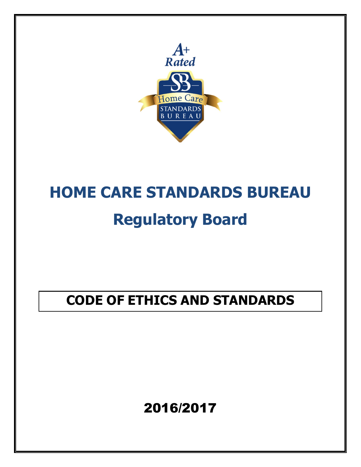

# **HOME CARE STANDARDS BUREAU**

## **Regulatory Board**

### **CODE OF ETHICS AND STANDARDS**

### 2016/2017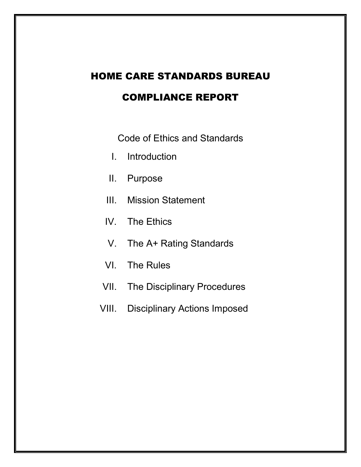## HOME CARE STANDARDS BUREAU

### COMPLIANCE REPORT

Code of Ethics and Standards

- I. Introduction
- II. Purpose
- III. Mission Statement
- IV. The Ethics
- V. The A+ Rating Standards
- VI. The Rules
- VII. The Disciplinary Procedures
- VIII. Disciplinary Actions Imposed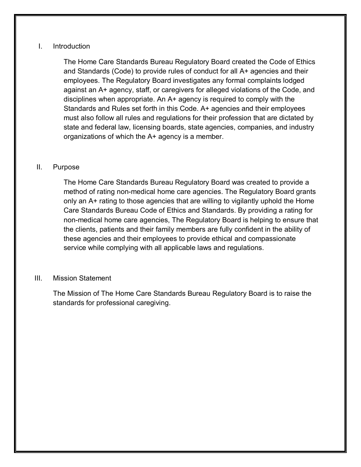#### I. Introduction

The Home Care Standards Bureau Regulatory Board created the Code of Ethics and Standards (Code) to provide rules of conduct for all A+ agencies and their employees. The Regulatory Board investigates any formal complaints lodged against an A+ agency, staff, or caregivers for alleged violations of the Code, and disciplines when appropriate. An A+ agency is required to comply with the Standards and Rules set forth in this Code. A+ agencies and their employees must also follow all rules and regulations for their profession that are dictated by state and federal law, licensing boards, state agencies, companies, and industry organizations of which the A+ agency is a member.

#### II. Purpose

The Home Care Standards Bureau Regulatory Board was created to provide a method of rating non-medical home care agencies. The Regulatory Board grants only an A+ rating to those agencies that are willing to vigilantly uphold the Home Care Standards Bureau Code of Ethics and Standards. By providing a rating for non-medical home care agencies, The Regulatory Board is helping to ensure that the clients, patients and their family members are fully confident in the ability of these agencies and their employees to provide ethical and compassionate service while complying with all applicable laws and regulations.

#### III. Mission Statement

The Mission of The Home Care Standards Bureau Regulatory Board is to raise the standards for professional caregiving.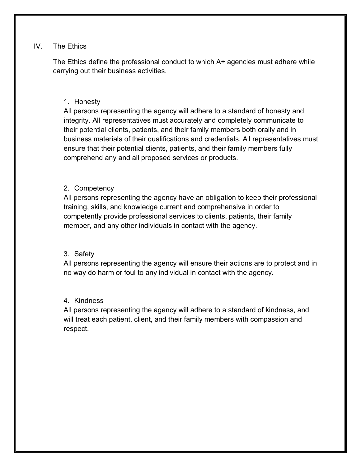#### IV. The Ethics

The Ethics define the professional conduct to which A+ agencies must adhere while carrying out their business activities.

#### 1. Honesty

All persons representing the agency will adhere to a standard of honesty and integrity. All representatives must accurately and completely communicate to their potential clients, patients, and their family members both orally and in business materials of their qualifications and credentials. All representatives must ensure that their potential clients, patients, and their family members fully comprehend any and all proposed services or products.

#### 2. Competency

All persons representing the agency have an obligation to keep their professional training, skills, and knowledge current and comprehensive in order to competently provide professional services to clients, patients, their family member, and any other individuals in contact with the agency.

#### 3. Safety

All persons representing the agency will ensure their actions are to protect and in no way do harm or foul to any individual in contact with the agency.

#### 4. Kindness

All persons representing the agency will adhere to a standard of kindness, and will treat each patient, client, and their family members with compassion and respect.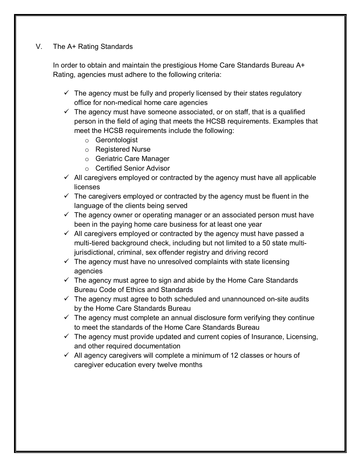#### V. The A+ Rating Standards

In order to obtain and maintain the prestigious Home Care Standards Bureau A+ Rating, agencies must adhere to the following criteria:

- $\checkmark$  The agency must be fully and properly licensed by their states regulatory office for non-medical home care agencies
- $\checkmark$  The agency must have someone associated, or on staff, that is a qualified person in the field of aging that meets the HCSB requirements. Examples that meet the HCSB requirements include the following:
	- o Gerontologist
	- o Registered Nurse
	- o Geriatric Care Manager
	- o Certified Senior Advisor
- $\checkmark$  All caregivers employed or contracted by the agency must have all applicable licenses
- $\checkmark$  The caregivers employed or contracted by the agency must be fluent in the language of the clients being served
- $\checkmark$  The agency owner or operating manager or an associated person must have been in the paying home care business for at least one year
- $\checkmark$  All caregivers employed or contracted by the agency must have passed a multi-tiered background check, including but not limited to a 50 state multijurisdictional, criminal, sex offender registry and driving record
- $\checkmark$  The agency must have no unresolved complaints with state licensing agencies
- $\checkmark$  The agency must agree to sign and abide by the Home Care Standards Bureau Code of Ethics and Standards
- $\checkmark$  The agency must agree to both scheduled and unannounced on-site audits by the Home Care Standards Bureau
- $\checkmark$  The agency must complete an annual disclosure form verifying they continue to meet the standards of the Home Care Standards Bureau
- $\checkmark$  The agency must provide updated and current copies of Insurance, Licensing, and other required documentation
- $\checkmark$  All agency caregivers will complete a minimum of 12 classes or hours of caregiver education every twelve months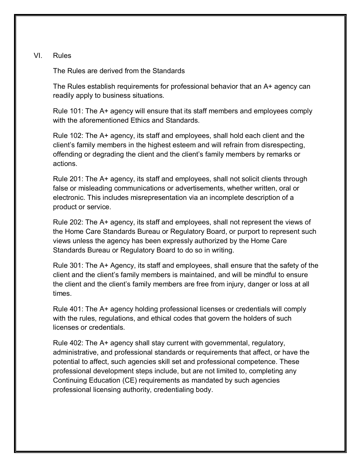#### VI. Rules

The Rules are derived from the Standards

The Rules establish requirements for professional behavior that an A+ agency can readily apply to business situations.

Rule 101: The A+ agency will ensure that its staff members and employees comply with the aforementioned Ethics and Standards.

Rule 102: The A+ agency, its staff and employees, shall hold each client and the client's family members in the highest esteem and will refrain from disrespecting, offending or degrading the client and the client's family members by remarks or actions.

Rule 201: The A+ agency, its staff and employees, shall not solicit clients through false or misleading communications or advertisements, whether written, oral or electronic. This includes misrepresentation via an incomplete description of a product or service.

Rule 202: The A+ agency, its staff and employees, shall not represent the views of the Home Care Standards Bureau or Regulatory Board, or purport to represent such views unless the agency has been expressly authorized by the Home Care Standards Bureau or Regulatory Board to do so in writing.

Rule 301: The A+ Agency, its staff and employees, shall ensure that the safety of the client and the client's family members is maintained, and will be mindful to ensure the client and the client's family members are free from injury, danger or loss at all times.

Rule 401: The A+ agency holding professional licenses or credentials will comply with the rules, regulations, and ethical codes that govern the holders of such licenses or credentials.

Rule 402: The A+ agency shall stay current with governmental, regulatory, administrative, and professional standards or requirements that affect, or have the potential to affect, such agencies skill set and professional competence. These professional development steps include, but are not limited to, completing any Continuing Education (CE) requirements as mandated by such agencies professional licensing authority, credentialing body.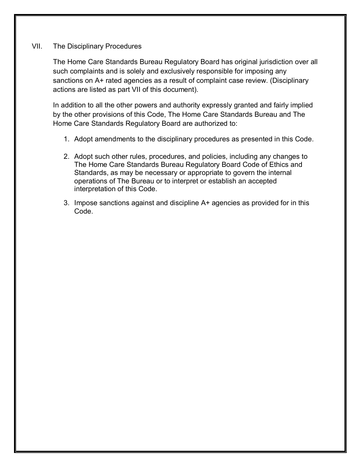#### VII. The Disciplinary Procedures

The Home Care Standards Bureau Regulatory Board has original jurisdiction over all such complaints and is solely and exclusively responsible for imposing any sanctions on A+ rated agencies as a result of complaint case review. (Disciplinary actions are listed as part VII of this document).

In addition to all the other powers and authority expressly granted and fairly implied by the other provisions of this Code, The Home Care Standards Bureau and The Home Care Standards Regulatory Board are authorized to:

- 1. Adopt amendments to the disciplinary procedures as presented in this Code.
- 2. Adopt such other rules, procedures, and policies, including any changes to The Home Care Standards Bureau Regulatory Board Code of Ethics and Standards, as may be necessary or appropriate to govern the internal operations of The Bureau or to interpret or establish an accepted interpretation of this Code.
- 3. Impose sanctions against and discipline A+ agencies as provided for in this Code.